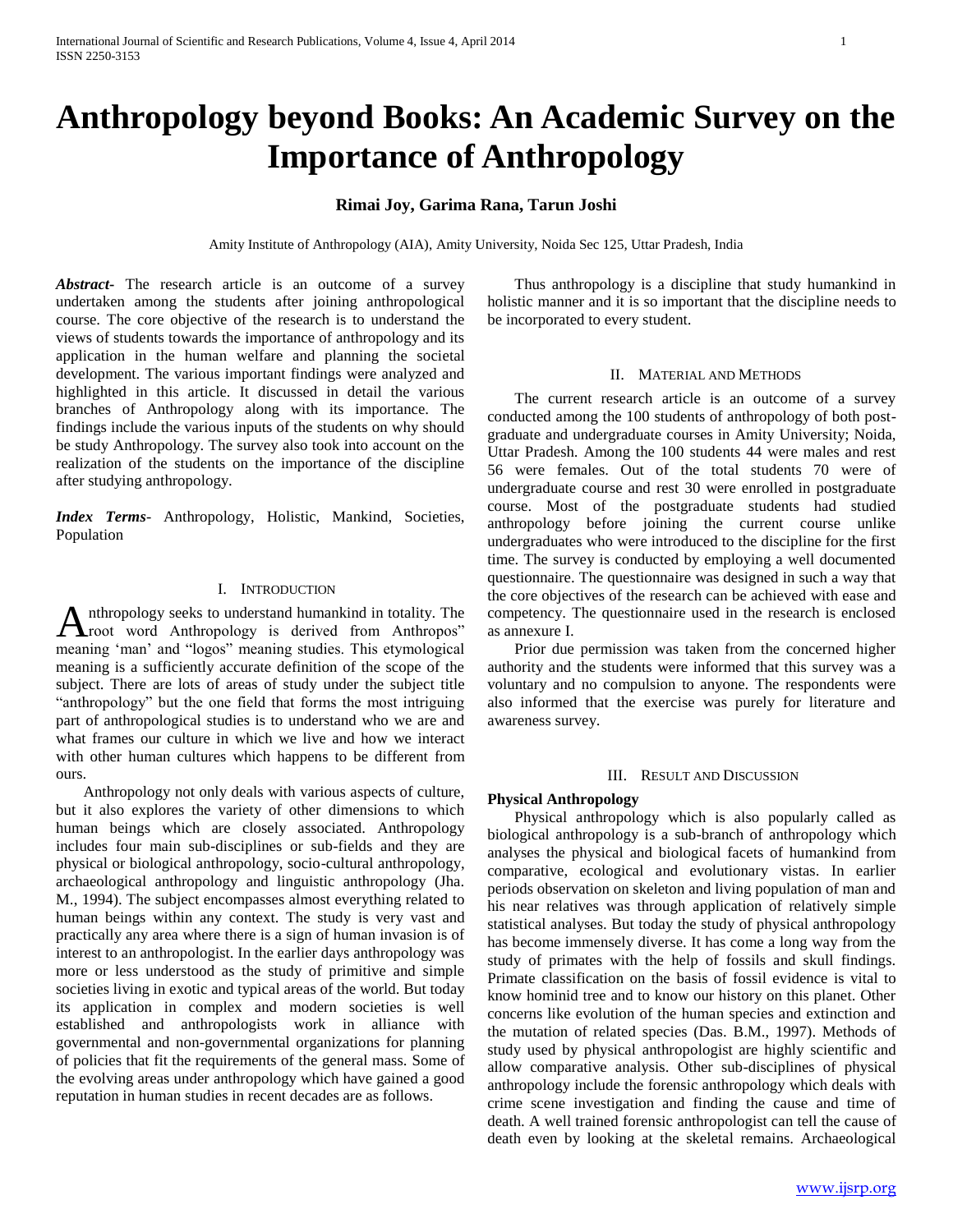# **Anthropology beyond Books: An Academic Survey on the Importance of Anthropology**

# **Rimai Joy, Garima Rana, Tarun Joshi**

Amity Institute of Anthropology (AIA), Amity University, Noida Sec 125, Uttar Pradesh, India

*Abstract***-** The research article is an outcome of a survey undertaken among the students after joining anthropological course. The core objective of the research is to understand the views of students towards the importance of anthropology and its application in the human welfare and planning the societal development. The various important findings were analyzed and highlighted in this article. It discussed in detail the various branches of Anthropology along with its importance. The findings include the various inputs of the students on why should be study Anthropology. The survey also took into account on the realization of the students on the importance of the discipline after studying anthropology.

*Index Terms*- Anthropology, Holistic, Mankind, Societies, Population

# I. INTRODUCTION

nthropology seeks to understand humankind in totality. The Anthropology seeks to understand humankind in totality. The croot word Anthropology is derived from Anthropos" meaning 'man' and "logos" meaning studies. This etymological meaning is a sufficiently accurate definition of the scope of the subject. There are lots of areas of study under the subject title "anthropology" but the one field that forms the most intriguing part of anthropological studies is to understand who we are and what frames our culture in which we live and how we interact with other human cultures which happens to be different from ours.

 Anthropology not only deals with various aspects of culture, but it also explores the variety of other dimensions to which human beings which are closely associated. Anthropology includes four main sub-disciplines or sub-fields and they are physical or biological anthropology, socio-cultural anthropology, archaeological anthropology and linguistic anthropology (Jha. M., 1994). The subject encompasses almost everything related to human beings within any context. The study is very vast and practically any area where there is a sign of human invasion is of interest to an anthropologist. In the earlier days anthropology was more or less understood as the study of primitive and simple societies living in exotic and typical areas of the world. But today its application in complex and modern societies is well established and anthropologists work in alliance with governmental and non-governmental organizations for planning of policies that fit the requirements of the general mass. Some of the evolving areas under anthropology which have gained a good reputation in human studies in recent decades are as follows.

 Thus anthropology is a discipline that study humankind in holistic manner and it is so important that the discipline needs to be incorporated to every student.

### II. MATERIAL AND METHODS

 The current research article is an outcome of a survey conducted among the 100 students of anthropology of both postgraduate and undergraduate courses in Amity University; Noida, Uttar Pradesh. Among the 100 students 44 were males and rest 56 were females. Out of the total students 70 were of undergraduate course and rest 30 were enrolled in postgraduate course. Most of the postgraduate students had studied anthropology before joining the current course unlike undergraduates who were introduced to the discipline for the first time. The survey is conducted by employing a well documented questionnaire. The questionnaire was designed in such a way that the core objectives of the research can be achieved with ease and competency. The questionnaire used in the research is enclosed as annexure I.

 Prior due permission was taken from the concerned higher authority and the students were informed that this survey was a voluntary and no compulsion to anyone. The respondents were also informed that the exercise was purely for literature and awareness survey.

#### III. RESULT AND DISCUSSION

### **Physical Anthropology**

 Physical anthropology which is also popularly called as biological anthropology is a sub-branch of anthropology which analyses the physical and biological facets of humankind from comparative, ecological and evolutionary vistas. In earlier periods observation on skeleton and living population of man and his near relatives was through application of relatively simple statistical analyses. But today the study of physical anthropology has become immensely diverse. It has come a long way from the study of primates with the help of fossils and skull findings. Primate classification on the basis of fossil evidence is vital to know hominid tree and to know our history on this planet. Other concerns like evolution of the human species and extinction and the mutation of related species (Das. B.M., 1997). Methods of study used by physical anthropologist are highly scientific and allow comparative analysis. Other sub-disciplines of physical anthropology include the forensic anthropology which deals with crime scene investigation and finding the cause and time of death. A well trained forensic anthropologist can tell the cause of death even by looking at the skeletal remains. Archaeological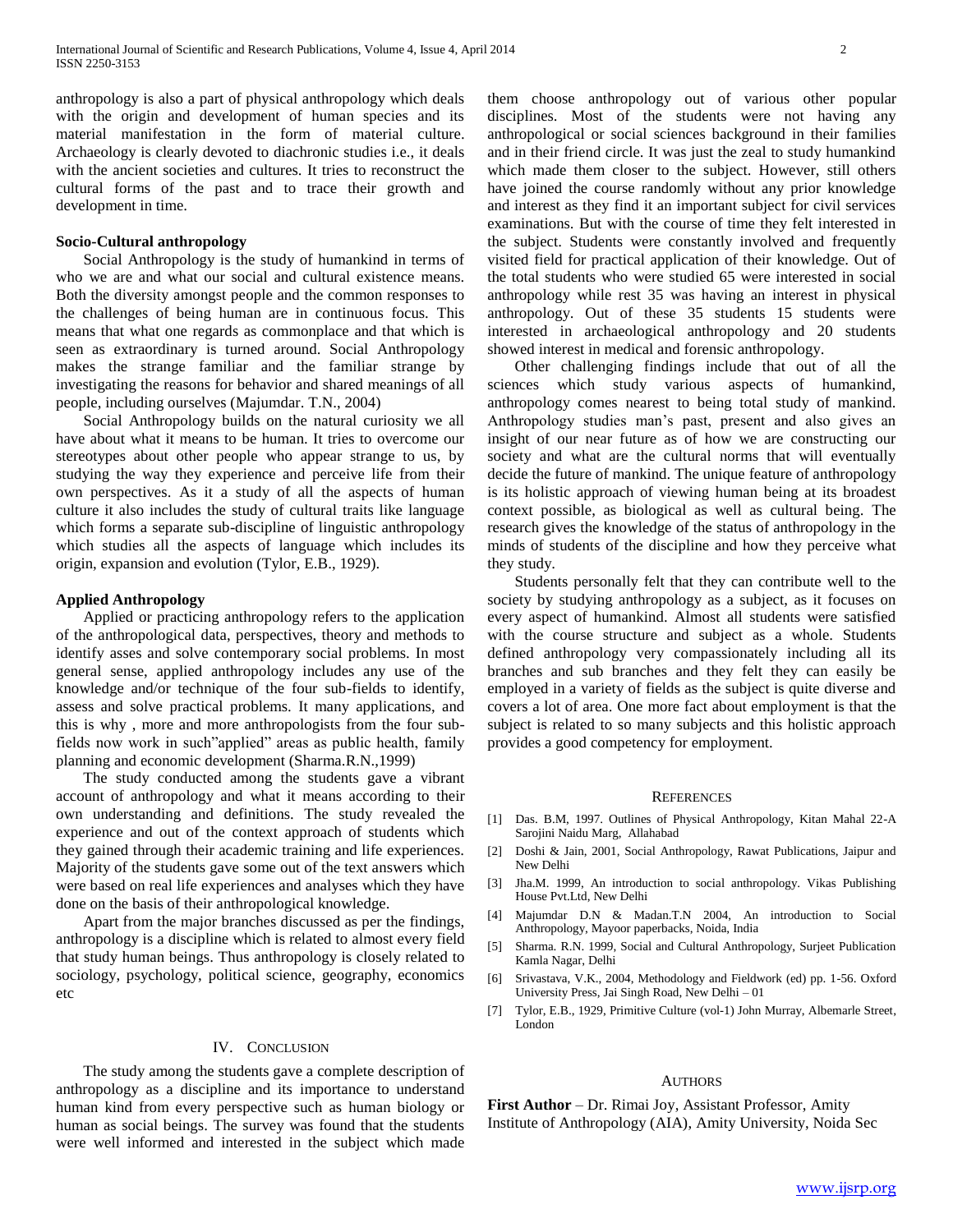anthropology is also a part of physical anthropology which deals with the origin and development of human species and its material manifestation in the form of material culture. Archaeology is clearly devoted to diachronic studies i.e., it deals with the ancient societies and cultures. It tries to reconstruct the cultural forms of the past and to trace their growth and development in time.

### **Socio-Cultural anthropology**

 Social Anthropology is the study of humankind in terms of who we are and what our social and cultural existence means. Both the diversity amongst people and the common responses to the challenges of being human are in continuous focus. This means that what one regards as commonplace and that which is seen as extraordinary is turned around. Social Anthropology makes the strange familiar and the familiar strange by investigating the reasons for behavior and shared meanings of all people, including ourselves (Majumdar. T.N., 2004)

 Social Anthropology builds on the natural curiosity we all have about what it means to be human. It tries to overcome our stereotypes about other people who appear strange to us, by studying the way they experience and perceive life from their own perspectives. As it a study of all the aspects of human culture it also includes the study of cultural traits like language which forms a separate sub-discipline of linguistic anthropology which studies all the aspects of language which includes its origin, expansion and evolution (Tylor, E.B., 1929).

## **Applied Anthropology**

 Applied or practicing anthropology refers to the application of the anthropological data, perspectives, theory and methods to identify asses and solve contemporary social problems. In most general sense, applied anthropology includes any use of the knowledge and/or technique of the four sub-fields to identify, assess and solve practical problems. It many applications, and this is why , more and more anthropologists from the four subfields now work in such"applied" areas as public health, family planning and economic development (Sharma.R.N.,1999)

 The study conducted among the students gave a vibrant account of anthropology and what it means according to their own understanding and definitions. The study revealed the experience and out of the context approach of students which they gained through their academic training and life experiences. Majority of the students gave some out of the text answers which were based on real life experiences and analyses which they have done on the basis of their anthropological knowledge.

 Apart from the major branches discussed as per the findings, anthropology is a discipline which is related to almost every field that study human beings. Thus anthropology is closely related to sociology, psychology, political science, geography, economics etc

#### IV. CONCLUSION

 The study among the students gave a complete description of anthropology as a discipline and its importance to understand human kind from every perspective such as human biology or human as social beings. The survey was found that the students were well informed and interested in the subject which made

them choose anthropology out of various other popular disciplines. Most of the students were not having any anthropological or social sciences background in their families and in their friend circle. It was just the zeal to study humankind which made them closer to the subject. However, still others have joined the course randomly without any prior knowledge and interest as they find it an important subject for civil services examinations. But with the course of time they felt interested in the subject. Students were constantly involved and frequently visited field for practical application of their knowledge. Out of the total students who were studied 65 were interested in social anthropology while rest 35 was having an interest in physical anthropology. Out of these 35 students 15 students were interested in archaeological anthropology and 20 students showed interest in medical and forensic anthropology.

 Other challenging findings include that out of all the sciences which study various aspects of humankind, anthropology comes nearest to being total study of mankind. Anthropology studies man's past, present and also gives an insight of our near future as of how we are constructing our society and what are the cultural norms that will eventually decide the future of mankind. The unique feature of anthropology is its holistic approach of viewing human being at its broadest context possible, as biological as well as cultural being. The research gives the knowledge of the status of anthropology in the minds of students of the discipline and how they perceive what they study.

 Students personally felt that they can contribute well to the society by studying anthropology as a subject, as it focuses on every aspect of humankind. Almost all students were satisfied with the course structure and subject as a whole. Students defined anthropology very compassionately including all its branches and sub branches and they felt they can easily be employed in a variety of fields as the subject is quite diverse and covers a lot of area. One more fact about employment is that the subject is related to so many subjects and this holistic approach provides a good competency for employment.

### **REFERENCES**

- [1] Das. B.M, 1997. Outlines of Physical Anthropology, Kitan Mahal 22-A Sarojini Naidu Marg, Allahabad
- [2] Doshi & Jain, 2001, Social Anthropology, Rawat Publications, Jaipur and New Delhi
- [3] Jha.M. 1999, An introduction to social anthropology. Vikas Publishing House Pvt.Ltd, New Delhi
- [4] Majumdar D.N & Madan.T.N 2004, An introduction to Social Anthropology, Mayoor paperbacks, Noida, India
- [5] Sharma. R.N. 1999, Social and Cultural Anthropology, Surjeet Publication Kamla Nagar, Delhi
- [6] Srivastava, V.K., 2004, Methodology and Fieldwork (ed) pp. 1-56. Oxford University Press, Jai Singh Road, New Delhi – 01
- [7] Tylor, E.B., 1929, Primitive Culture (vol-1) John Murray, Albemarle Street, London

#### AUTHORS

**First Author** – Dr. Rimai Joy, Assistant Professor, Amity Institute of Anthropology (AIA), Amity University, Noida Sec